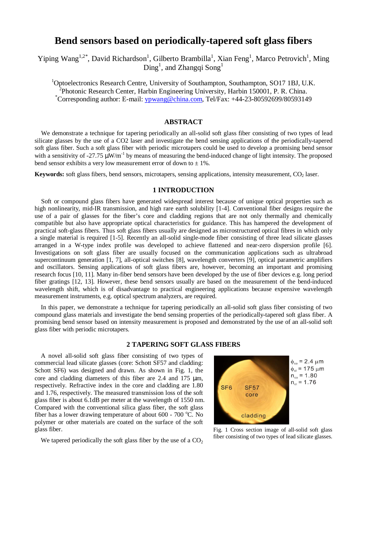# **Bend sensors based on periodically-tapered soft glass fibers**

Yiping Wang<sup>1,2\*</sup>, David Richardson<sup>1</sup>, Gilberto Brambilla<sup>1</sup>, Xian Feng<sup>1</sup>, Marco Petrovich<sup>1</sup>, Ming  $\text{Ding}^1$ , and Zhangqi  $\text{Song}^1$ 

<sup>1</sup>Optoelectronics Research Centre, University of Southampton, Southampton, SO17 1BJ, U.K. <sup>2</sup>Photonic Research Center, Harbin Engineering University, Harbin 150001, P. R. China. \*Corresponding author: E-mail: ypwang@china.com, Tel/Fax: +44-23-80592699/80593149

## **ABSTRACT**

 We demonstrate a technique for tapering periodically an all-solid soft glass fiber consisting of two types of lead silicate glasses by the use of a CO2 laser and investigate the bend sensing applications of the periodically-tapered soft glass fiber. Such a soft glass fiber with periodic microtapers could be used to develop a promising bend sensor with a sensitivity of -27.75  $\mu$ W/m<sup>-1</sup> by means of measuring the bend-induced change of light intensity. The proposed bend sensor exhibits a very low measurement error of down to  $\pm$  1%.

**Keywords:** soft glass fibers, bend sensors, microtapers, sensing applications, intensity measurement, CO<sub>2</sub> laser.

## **1 INTRODUCTION**

 Soft or compound glass fibers have generated widespread interest because of unique optical properties such as high nonlinearity, mid-IR transmission, and high rare earth solubility [1-4]. Conventional fiber designs require the use of a pair of glasses for the fiber's core and cladding regions that are not only thermally and chemically compatible but also have appropriate optical characteristics for guidance. This has hampered the development of practical soft-glass fibers. Thus soft glass fibers usually are designed as microstructured optical fibres in which only a single material is required [1-5]. Recently an all-solid single-mode fiber consisting of three lead silicate glasses arranged in a W-type index profile was developed to achieve flattened and near-zero dispersion profile [6]. Investigations on soft glass fiber are usually focused on the communication applications such as ultrabroad supercontinuum generation [1, 7], all-optical switches [8], wavelength converters [9], optical parametric amplifiers and oscillators. Sensing applications of soft glass fibers are, however, becoming an important and promising research focus [10, 11]. Many in-fiber bend sensors have been developed by the use of fiber devices e.g. long period fiber gratings [12, 13]. However, these bend sensors usually are based on the measurement of the bend-induced wavelength shift, which is of disadvantage to practical engineering applications because expensive wavelength measurement instruments, e.g. optical spectrum analyzers, are required.

In this paper, we demonstrate a technique for tapering periodically an all-solid soft glass fiber consisting of two compound glass materials and investigate the bend sensing properties of the periodically-tapered soft glass fiber. A promising bend sensor based on intensity measurement is proposed and demonstrated by the use of an all-solid soft glass fiber with periodic microtapers.

## **2 TAPERING SOFT GLASS FIBERS**

A novel all-solid soft glass fiber consisting of two types of commercial lead silicate glasses (core: Schott SF57 and cladding: Schott SF6) was designed and drawn. As shown in Fig. 1, the core and cladding diameters of this fiber are 2.4 and 175 µm, respectively. Refractive index in the core and cladding are 1.80 and 1.76, respectively. The measured transmission loss of the soft glass fiber is about 6.1dB per meter at the wavelength of 1550 nm. Compared with the conventional silica glass fiber, the soft glass fiber has a lower drawing temperature of about  $600 - 700$  °C. No polymer or other materials are coated on the surface of the soft glass fiber.

We tapered periodically the soft glass fiber by the use of a  $CO<sub>2</sub>$ 



Fig. 1 Cross section image of all-solid soft glass fiber consisting of two types of lead silicate glasses.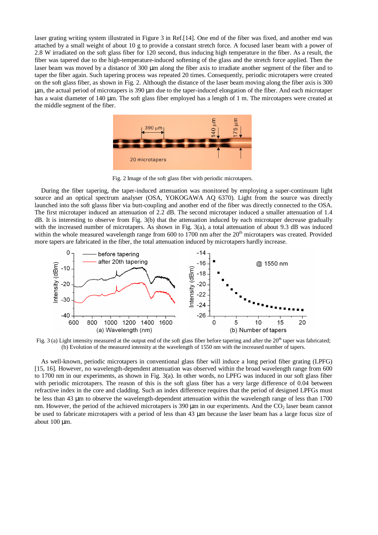laser grating writing system illustrated in Figure 3 in Ref.[14]. One end of the fiber was fixed, and another end was attached by a small weight of about 10 g to provide a constant stretch force. A focused laser beam with a power of 2.8 W irradiated on the soft glass fiber for 120 second, thus inducing high temperature in the fiber. As a result, the fiber was tapered due to the high-temperature-induced softening of the glass and the stretch force applied. Then the laser beam was moved by a distance of 300 µm along the fiber axis to irradiate another segment of the fiber and to taper the fiber again. Such tapering process was repeated 20 times. Consequently, periodic microtapers were created on the soft glass fiber, as shown in Fig. 2. Although the distance of the laser beam moving along the fiber axis is 300 µm, the actual period of microtapers is 390 µm due to the taper-induced elongation of the fiber. And each microtaper has a waist diameter of 140 µm. The soft glass fiber employed has a length of 1 m. The mircotapers were created at the middle segment of the fiber.



Fig. 2 Image of the soft glass fiber with periodic microtapers.

 During the fiber tapering, the taper-induced attenuation was monitored by employing a super-continuum light source and an optical spectrum analyser (OSA, YOKOGAWA AQ 6370). Light from the source was directly launched into the soft glasss fiber via butt-coupling and another end of the fiber was directly connected to the OSA. The first microtaper induced an attenuation of 2.2 dB. The second microtaper induced a smaller attenuation of 1.4 dB. It is interesting to observe from Fig. 3(b) that the attenuation induced by each microtaper decrease gradually with the increased number of microtapers. As shown in Fig. 3(a), a total attenuation of about 9.3 dB was induced within the whole measured wavelength range from 600 to 1700 nm after the  $20<sup>th</sup>$  microtapers was created. Provided more tapers are fabricated in the fiber, the total attenuation induced by microtapers hardly increase.



Fig. 3 (a) Light intensity measured at the output end of the soft glass fiber before tapering and after the  $20<sup>th</sup>$  taper was fabricated; (b) Evolution of the measured intensity at the wavelength of 1550 nm with the increased number of tapers.

 As well-known, periodic microtapers in conventional glass fiber will induce a long period fiber grating (LPFG) [15, 16]. However, no wavelength-dependent attenuation was observed within the broad wavelength range from 600 to 1700 nm in our experiments, as shown in Fig. 3(a). In other words, no LPFG was induced in our soft glass fiber with periodic microtapers. The reason of this is the soft glass fiber has a very large difference of 0.04 between refractive index in the core and cladding. Such an index difference requires that the period of designed LPFGs must be less than 43 µm to observe the wavelength-dependent attenuation within the wavelength range of less than 1700 nm. However, the period of the achieved microtapers is 390  $\mu$ m in our experiments. And the CO<sub>2</sub> laser beam cannot be used to fabricate microtapers with a period of less than 43 µm because the laser beam has a large focus size of about 100 µm.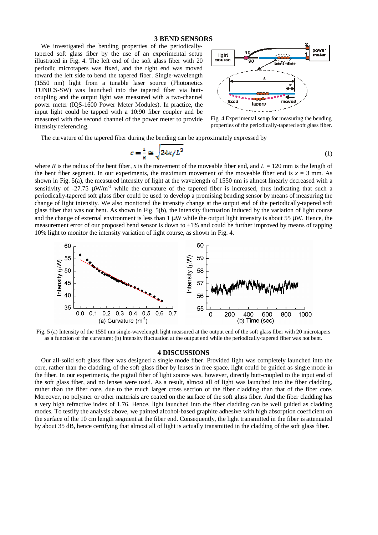## **3 BEND SENSORS**

We investigated the bending properties of the periodicallytapered soft glass fiber by the use of an experimental setup illustrated in Fig. 4. The left end of the soft glass fiber with 20 periodic microtapers was fixed, and the right end was moved toward the left side to bend the tapered fiber. Single-wavelength (1550 nm) light from a tunable laser source (Photonetics TUNICS-SW) was launched into the tapered fiber via buttcoupling and the output light was measured with a two-channel power meter (IQS-1600 Power Meter Modules). In practice, the input light could be tapped with a 10:90 fiber coupler and be measured with the second channel of the power meter to provide intensity referencing.



Fig. 4 Experimental setup for measuring the bending properties of the periodically-tapered soft glass fiber.

The curvature of the tapered fiber during the bending can be approximately expressed by

$$
c = \frac{1}{R} \cong \sqrt{24x/L^3} \tag{1}
$$

where *R* is the radius of the bent fiber, *x* is the movement of the moveable fiber end, and  $L = 120$  mm is the length of the bent fiber segment. In our experiments, the maximum movement of the moveable fiber end is  $x = 3$  mm. As shown in Fig. 5(a), the measured intensity of light at the wavelength of 1550 nm is almost linearly decreased with a sensitivity of -27.75  $\mu$ W/m<sup>-1</sup> while the curvature of the tapered fiber is increased, thus indicating that such a periodically-tapered soft glass fiber could be used to develop a promising bending sensor by means of measuring the change of light intensity. We also monitored the intensity change at the output end of the periodically-tapered soft glass fiber that was not bent. As shown in Fig. 5(b), the intensity fluctuation induced by the variation of light course and the change of external environment is less than  $1 \mu W$  while the output light intensity is about 55  $\mu W$ . Hence, the measurement error of our proposed bend sensor is down to  $\pm 1\%$  and could be further improved by means of tapping 10% light to monitor the intensity variation of light course, as shown in Fig. 4.



Fig. 5 (a) Intensity of the 1550 nm single-wavelength light measured at the output end of the soft glass fiber with 20 microtapers as a function of the curvature; (b) Intensity fluctuation at the output end while the periodically-tapered fiber was not bent.

#### **4 DISCUSSIONS**

 Our all-solid soft glass fiber was designed a single mode fiber. Provided light was completely launched into the core, rather than the cladding, of the soft glass fiber by lenses in free space, light could be guided as single mode in the fiber. In our experiments, the pigtail fiber of light source was, however, directly butt-coupled to the input end of the soft glass fiber, and no lenses were used. As a result, almost all of light was launched into the fiber cladding, rather than the fiber core, due to the much larger cross section of the fiber cladding than that of the fiber core. Moreover, no polymer or other materials are coated on the surface of the soft glass fiber. And the fiber cladding has a very high refractive index of 1.76. Hence, light launched into the fiber cladding can be well guided as cladding modes. To testify the analysis above, we painted alcohol-based graphite adhesive with high absorption coefficient on the surface of the 10 cm length segment at the fiber end. Consequently, the light transmitted in the fiber is attenuated by about 35 dB, hence certifying that almost all of light is actually transmitted in the cladding of the soft glass fiber.